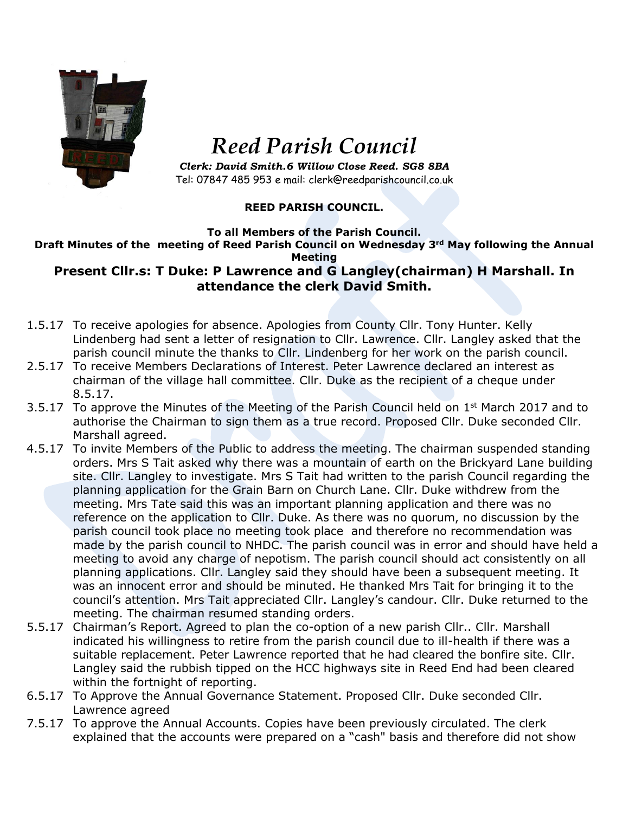

## *Reed Parish Council*

*Clerk: David Smith.6 Willow Close Reed. SG8 8BA* Tel: 07847 485 953 e mail: clerk@reedparishcouncil.co.uk

## **REED PARISH COUNCIL.**

## **To all Members of the Parish Council. Draft Minutes of the meeting of Reed Parish Council on Wednesday 3rd May following the Annual Meeting**

## **Present Cllr.s: T Duke: P Lawrence and G Langley(chairman) H Marshall. In attendance the clerk David Smith.**

- 1.5.17 To receive apologies for absence. Apologies from County Cllr. Tony Hunter. Kelly Lindenberg had sent a letter of resignation to Cllr. Lawrence. Cllr. Langley asked that the parish council minute the thanks to Cllr. Lindenberg for her work on the parish council.
- 2.5.17 To receive Members Declarations of Interest. Peter Lawrence declared an interest as chairman of the village hall committee. Cllr. Duke as the recipient of a cheque under 8.5.17.
- 3.5.17 To approve the Minutes of the Meeting of the Parish Council held on  $1<sup>st</sup>$  March 2017 and to authorise the Chairman to sign them as a true record. Proposed Cllr. Duke seconded Cllr. Marshall agreed.
- 4.5.17 To invite Members of the Public to address the meeting. The chairman suspended standing orders. Mrs S Tait asked why there was a mountain of earth on the Brickyard Lane building site. Cllr. Langley to investigate. Mrs S Tait had written to the parish Council regarding the planning application for the Grain Barn on Church Lane. Cllr. Duke withdrew from the meeting. Mrs Tate said this was an important planning application and there was no reference on the application to Cllr. Duke. As there was no quorum, no discussion by the parish council took place no meeting took place and therefore no recommendation was made by the parish council to NHDC. The parish council was in error and should have held a meeting to avoid any charge of nepotism. The parish council should act consistently on all planning applications. Cllr. Langley said they should have been a subsequent meeting. It was an innocent error and should be minuted. He thanked Mrs Tait for bringing it to the council's attention. Mrs Tait appreciated Cllr. Langley's candour. Cllr. Duke returned to the meeting. The chairman resumed standing orders.
- 5.5.17 Chairman's Report. Agreed to plan the co-option of a new parish Cllr.. Cllr. Marshall indicated his willingness to retire from the parish council due to ill-health if there was a suitable replacement. Peter Lawrence reported that he had cleared the bonfire site. Cllr. Langley said the rubbish tipped on the HCC highways site in Reed End had been cleared within the fortnight of reporting.
- 6.5.17 To Approve the Annual Governance Statement. Proposed Cllr. Duke seconded Cllr. Lawrence agreed
- 7.5.17 To approve the Annual Accounts. Copies have been previously circulated. The clerk explained that the accounts were prepared on a "cash" basis and therefore did not show